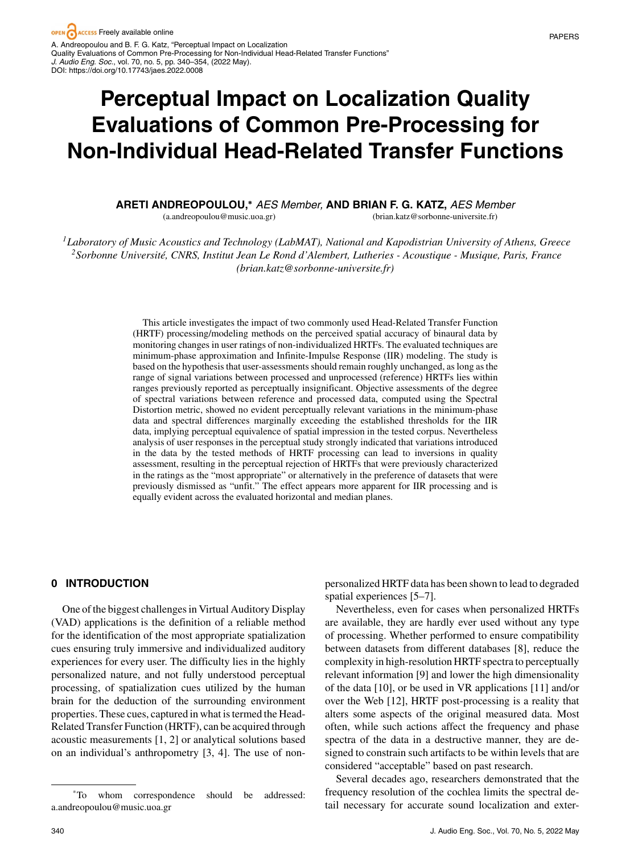# **Perceptual Impact on Localization Quality Evaluations of Common Pre-Processing for Non-Individual Head-Related Transfer Functions**

#### **ARETI ANDREOPOULOU,<sup>∗</sup>** *AES Member ,* **AND BRIAN F. G. KATZ,** *AES Member* (a.andreopoulou@music.uoa.gr) (brian.katz@sorbonne-universite.fr)

*1Laboratory of Music Acoustics and Technology (LabMAT), National and Kapodistrian University of Athens, Greece 2Sorbonne Universite, CNRS, Institut Jean Le Rond d'Alembert, Lutheries - Acoustique - Musique, Paris, France ´ (brian.katz@sorbonne-universite.fr)*

> This article investigates the impact of two commonly used Head-Related Transfer Function (HRTF) processing/modeling methods on the perceived spatial accuracy of binaural data by monitoring changes in user ratings of non-individualized HRTFs. The evaluated techniques are minimum-phase approximation and Infinite-Impulse Response (IIR) modeling. The study is based on the hypothesis that user-assessments should remain roughly unchanged, as long as the range of signal variations between processed and unprocessed (reference) HRTFs lies within ranges previously reported as perceptually insignificant. Objective assessments of the degree of spectral variations between reference and processed data, computed using the Spectral Distortion metric, showed no evident perceptually relevant variations in the minimum-phase data and spectral differences marginally exceeding the established thresholds for the IIR data, implying perceptual equivalence of spatial impression in the tested corpus. Nevertheless analysis of user responses in the perceptual study strongly indicated that variations introduced in the data by the tested methods of HRTF processing can lead to inversions in quality assessment, resulting in the perceptual rejection of HRTFs that were previously characterized in the ratings as the "most appropriate" or alternatively in the preference of datasets that were previously dismissed as "unfit." The effect appears more apparent for IIR processing and is equally evident across the evaluated horizontal and median planes.

#### **0 INTRODUCTION**

One of the biggest challenges in Virtual Auditory Display (VAD) applications is the definition of a reliable method for the identification of the most appropriate spatialization cues ensuring truly immersive and individualized auditory experiences for every user. The difficulty lies in the highly personalized nature, and not fully understood perceptual processing, of spatialization cues utilized by the human brain for the deduction of the surrounding environment properties. These cues, captured in what is termed the Head-Related Transfer Function (HRTF), can be acquired through acoustic measurements [1, 2] or analytical solutions based on an individual's anthropometry [3, 4]. The use of nonpersonalized HRTF data has been shown to lead to degraded spatial experiences [5–7].

Nevertheless, even for cases when personalized HRTFs are available, they are hardly ever used without any type of processing. Whether performed to ensure compatibility between datasets from different databases [8], reduce the complexity in high-resolution HRTF spectra to perceptually relevant information [9] and lower the high dimensionality of the data [10], or be used in VR applications [11] and/or over the Web [12], HRTF post-processing is a reality that alters some aspects of the original measured data. Most often, while such actions affect the frequency and phase spectra of the data in a destructive manner, they are designed to constrain such artifacts to be within levels that are considered "acceptable" based on past research.

Several decades ago, researchers demonstrated that the frequency resolution of the cochlea limits the spectral detail necessary for accurate sound localization and exter-

<sup>\*</sup>To whom correspondence should be addressed: a.andreopoulou@music.uoa.gr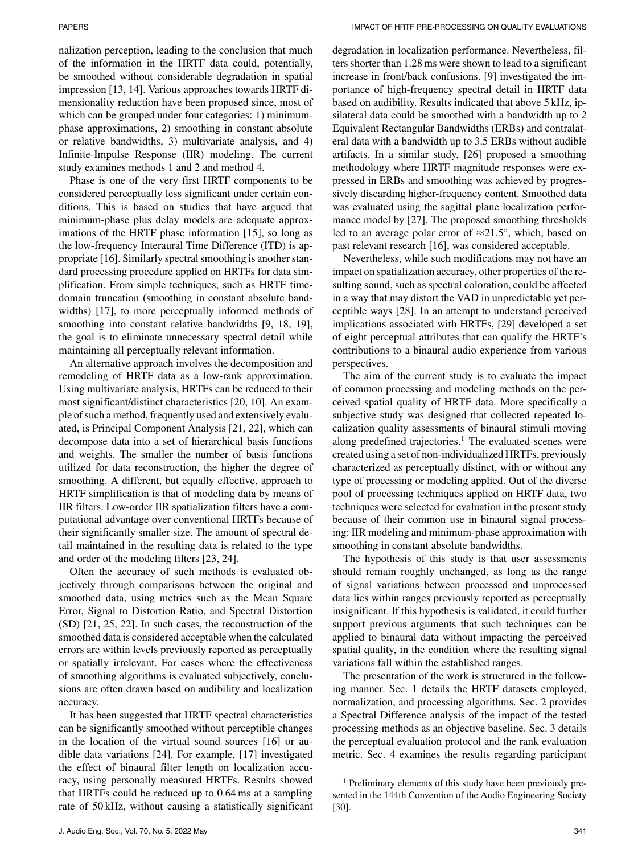nalization perception, leading to the conclusion that much of the information in the HRTF data could, potentially, be smoothed without considerable degradation in spatial impression [13, 14]. Various approaches towards HRTF dimensionality reduction have been proposed since, most of which can be grouped under four categories: 1) minimumphase approximations, 2) smoothing in constant absolute or relative bandwidths, 3) multivariate analysis, and 4) Infinite-Impulse Response (IIR) modeling. The current study examines methods 1 and 2 and method 4.

Phase is one of the very first HRTF components to be considered perceptually less significant under certain conditions. This is based on studies that have argued that minimum-phase plus delay models are adequate approximations of the HRTF phase information [15], so long as the low-frequency Interaural Time Difference (ITD) is appropriate [16]. Similarly spectral smoothing is another standard processing procedure applied on HRTFs for data simplification. From simple techniques, such as HRTF timedomain truncation (smoothing in constant absolute bandwidths) [17], to more perceptually informed methods of smoothing into constant relative bandwidths [9, 18, 19], the goal is to eliminate unnecessary spectral detail while maintaining all perceptually relevant information.

An alternative approach involves the decomposition and remodeling of HRTF data as a low-rank approximation. Using multivariate analysis, HRTFs can be reduced to their most significant/distinct characteristics [20, 10]. An example of such a method, frequently used and extensively evaluated, is Principal Component Analysis [21, 22], which can decompose data into a set of hierarchical basis functions and weights. The smaller the number of basis functions utilized for data reconstruction, the higher the degree of smoothing. A different, but equally effective, approach to HRTF simplification is that of modeling data by means of IIR filters. Low-order IIR spatialization filters have a computational advantage over conventional HRTFs because of their significantly smaller size. The amount of spectral detail maintained in the resulting data is related to the type and order of the modeling filters [23, 24].

Often the accuracy of such methods is evaluated objectively through comparisons between the original and smoothed data, using metrics such as the Mean Square Error, Signal to Distortion Ratio, and Spectral Distortion (SD) [21, 25, 22]. In such cases, the reconstruction of the smoothed data is considered acceptable when the calculated errors are within levels previously reported as perceptually or spatially irrelevant. For cases where the effectiveness of smoothing algorithms is evaluated subjectively, conclusions are often drawn based on audibility and localization accuracy.

It has been suggested that HRTF spectral characteristics can be significantly smoothed without perceptible changes in the location of the virtual sound sources [16] or audible data variations [24]. For example, [17] investigated the effect of binaural filter length on localization accuracy, using personally measured HRTFs. Results showed that HRTFs could be reduced up to 0.64 ms at a sampling rate of 50 kHz, without causing a statistically significant degradation in localization performance. Nevertheless, filters shorter than 1.28 ms were shown to lead to a significant increase in front/back confusions. [9] investigated the importance of high-frequency spectral detail in HRTF data based on audibility. Results indicated that above 5 kHz, ipsilateral data could be smoothed with a bandwidth up to 2 Equivalent Rectangular Bandwidths (ERBs) and contralateral data with a bandwidth up to 3.5 ERBs without audible artifacts. In a similar study, [26] proposed a smoothing methodology where HRTF magnitude responses were expressed in ERBs and smoothing was achieved by progressively discarding higher-frequency content. Smoothed data was evaluated using the sagittal plane localization performance model by [27]. The proposed smoothing thresholds led to an average polar error of  $\approx 21.5^{\circ}$ , which, based on past relevant research [16], was considered acceptable.

Nevertheless, while such modifications may not have an impact on spatialization accuracy, other properties of the resulting sound, such as spectral coloration, could be affected in a way that may distort the VAD in unpredictable yet perceptible ways [28]. In an attempt to understand perceived implications associated with HRTFs, [29] developed a set of eight perceptual attributes that can qualify the HRTF's contributions to a binaural audio experience from various perspectives.

The aim of the current study is to evaluate the impact of common processing and modeling methods on the perceived spatial quality of HRTF data. More specifically a subjective study was designed that collected repeated localization quality assessments of binaural stimuli moving along predefined trajectories. $<sup>1</sup>$  The evaluated scenes were</sup> created using a set of non-individualized HRTFs, previously characterized as perceptually distinct, with or without any type of processing or modeling applied. Out of the diverse pool of processing techniques applied on HRTF data, two techniques were selected for evaluation in the present study because of their common use in binaural signal processing: IIR modeling and minimum-phase approximation with smoothing in constant absolute bandwidths.

The hypothesis of this study is that user assessments should remain roughly unchanged, as long as the range of signal variations between processed and unprocessed data lies within ranges previously reported as perceptually insignificant. If this hypothesis is validated, it could further support previous arguments that such techniques can be applied to binaural data without impacting the perceived spatial quality, in the condition where the resulting signal variations fall within the established ranges.

The presentation of the work is structured in the following manner. Sec. 1 details the HRTF datasets employed, normalization, and processing algorithms. Sec. 2 provides a Spectral Difference analysis of the impact of the tested processing methods as an objective baseline. Sec. 3 details the perceptual evaluation protocol and the rank evaluation metric. Sec. 4 examines the results regarding participant

<sup>&</sup>lt;sup>1</sup> Preliminary elements of this study have been previously presented in the 144th Convention of the Audio Engineering Society [30].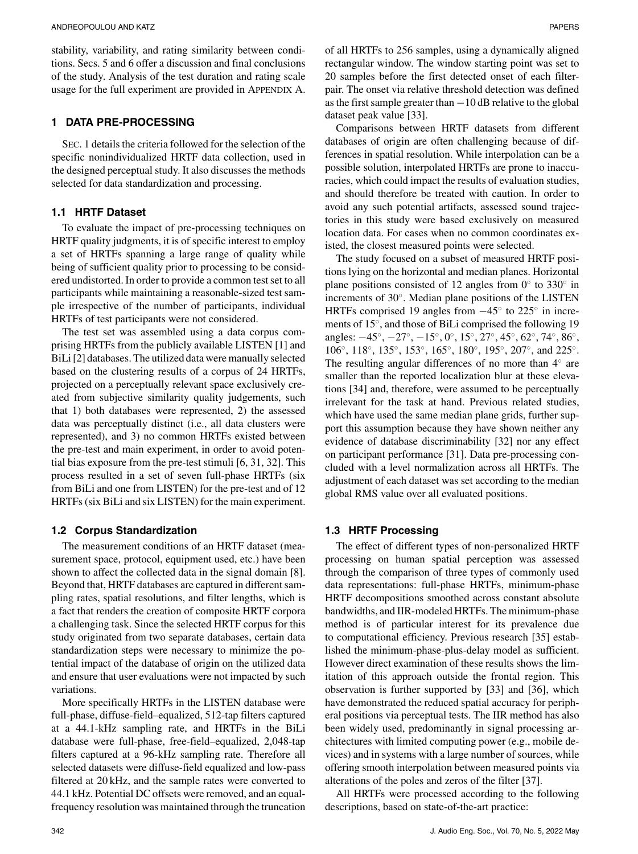stability, variability, and rating similarity between conditions. Secs. 5 and 6 offer a discussion and final conclusions of the study. Analysis of the test duration and rating scale usage for the full experiment are provided in APPENDIX A.

#### **1 DATA PRE-PROCESSING**

SEC. 1 details the criteria followed for the selection of the specific nonindividualized HRTF data collection, used in the designed perceptual study. It also discusses the methods selected for data standardization and processing.

#### **1.1 HRTF Dataset**

To evaluate the impact of pre-processing techniques on HRTF quality judgments, it is of specific interest to employ a set of HRTFs spanning a large range of quality while being of sufficient quality prior to processing to be considered undistorted. In order to provide a common test set to all participants while maintaining a reasonable-sized test sample irrespective of the number of participants, individual HRTFs of test participants were not considered.

The test set was assembled using a data corpus comprising HRTFs from the publicly available LISTEN [1] and BiLi [2] databases. The utilized data were manually selected based on the clustering results of a corpus of 24 HRTFs, projected on a perceptually relevant space exclusively created from subjective similarity quality judgements, such that 1) both databases were represented, 2) the assessed data was perceptually distinct (i.e., all data clusters were represented), and 3) no common HRTFs existed between the pre-test and main experiment, in order to avoid potential bias exposure from the pre-test stimuli [6, 31, 32]. This process resulted in a set of seven full-phase HRTFs (six from BiLi and one from LISTEN) for the pre-test and of 12 HRTFs (six BiLi and six LISTEN) for the main experiment.

#### **1.2 Corpus Standardization**

The measurement conditions of an HRTF dataset (measurement space, protocol, equipment used, etc.) have been shown to affect the collected data in the signal domain [8]. Beyond that, HRTF databases are captured in different sampling rates, spatial resolutions, and filter lengths, which is a fact that renders the creation of composite HRTF corpora a challenging task. Since the selected HRTF corpus for this study originated from two separate databases, certain data standardization steps were necessary to minimize the potential impact of the database of origin on the utilized data and ensure that user evaluations were not impacted by such variations.

More specifically HRTFs in the LISTEN database were full-phase, diffuse-field–equalized, 512-tap filters captured at a 44.1-kHz sampling rate, and HRTFs in the BiLi database were full-phase, free-field–equalized, 2,048-tap filters captured at a 96-kHz sampling rate. Therefore all selected datasets were diffuse-field equalized and low-pass filtered at 20 kHz, and the sample rates were converted to 44.1 kHz. Potential DC offsets were removed, and an equalfrequency resolution was maintained through the truncation of all HRTFs to 256 samples, using a dynamically aligned rectangular window. The window starting point was set to 20 samples before the first detected onset of each filterpair. The onset via relative threshold detection was defined as the first sample greater than −10 dB relative to the global dataset peak value [33].

Comparisons between HRTF datasets from different databases of origin are often challenging because of differences in spatial resolution. While interpolation can be a possible solution, interpolated HRTFs are prone to inaccuracies, which could impact the results of evaluation studies, and should therefore be treated with caution. In order to avoid any such potential artifacts, assessed sound trajectories in this study were based exclusively on measured location data. For cases when no common coordinates existed, the closest measured points were selected.

The study focused on a subset of measured HRTF positions lying on the horizontal and median planes. Horizontal plane positions consisted of 12 angles from  $0°$  to 330° in increments of 30◦. Median plane positions of the LISTEN HRTFs comprised 19 angles from −45◦ to 225◦ in increments of 15◦, and those of BiLi comprised the following 19 angles: −45◦, −27◦, −15◦, 0◦, 15◦, 27◦, 45◦, 62◦, 74◦, 86◦, 106◦, 118◦, 135◦, 153◦, 165◦, 180◦, 195◦, 207◦, and 225◦. The resulting angular differences of no more than 4◦ are smaller than the reported localization blur at these elevations [34] and, therefore, were assumed to be perceptually irrelevant for the task at hand. Previous related studies, which have used the same median plane grids, further support this assumption because they have shown neither any evidence of database discriminability [32] nor any effect on participant performance [31]. Data pre-processing concluded with a level normalization across all HRTFs. The adjustment of each dataset was set according to the median global RMS value over all evaluated positions.

#### **1.3 HRTF Processing**

The effect of different types of non-personalized HRTF processing on human spatial perception was assessed through the comparison of three types of commonly used data representations: full-phase HRTFs, minimum-phase HRTF decompositions smoothed across constant absolute bandwidths, and IIR-modeled HRTFs. The minimum-phase method is of particular interest for its prevalence due to computational efficiency. Previous research [35] established the minimum-phase-plus-delay model as sufficient. However direct examination of these results shows the limitation of this approach outside the frontal region. This observation is further supported by [33] and [36], which have demonstrated the reduced spatial accuracy for peripheral positions via perceptual tests. The IIR method has also been widely used, predominantly in signal processing architectures with limited computing power (e.g., mobile devices) and in systems with a large number of sources, while offering smooth interpolation between measured points via alterations of the poles and zeros of the filter [37].

All HRTFs were processed according to the following descriptions, based on state-of-the-art practice: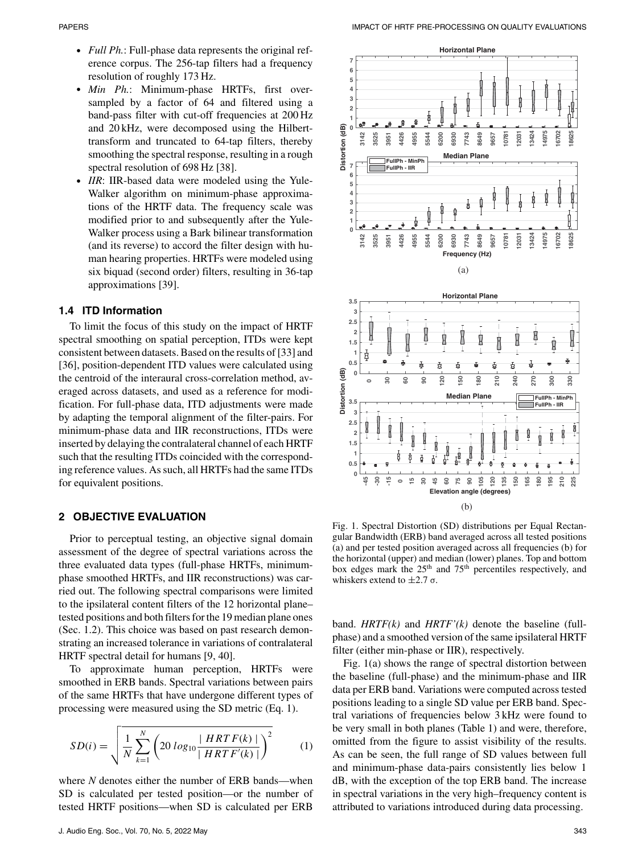- *Full Ph.*: Full-phase data represents the original reference corpus. The 256-tap filters had a frequency resolution of roughly 173 Hz.
- *Min Ph.*: Minimum-phase HRTFs, first oversampled by a factor of 64 and filtered using a band-pass filter with cut-off frequencies at 200 Hz and 20 kHz, were decomposed using the Hilberttransform and truncated to 64-tap filters, thereby smoothing the spectral response, resulting in a rough spectral resolution of 698 Hz [38].
- IIR: IIR-based data were modeled using the Yule-Walker algorithm on minimum-phase approximations of the HRTF data. The frequency scale was modified prior to and subsequently after the Yule-Walker process using a Bark bilinear transformation (and its reverse) to accord the filter design with human hearing properties. HRTFs were modeled using six biquad (second order) filters, resulting in 36-tap approximations [39].

#### **1.4 ITD Information**

To limit the focus of this study on the impact of HRTF spectral smoothing on spatial perception, ITDs were kept consistent between datasets. Based on the results of [33] and [36], position-dependent ITD values were calculated using the centroid of the interaural cross-correlation method, averaged across datasets, and used as a reference for modification. For full-phase data, ITD adjustments were made by adapting the temporal alignment of the filter-pairs. For minimum-phase data and IIR reconstructions, ITDs were inserted by delaying the contralateral channel of each HRTF such that the resulting ITDs coincided with the corresponding reference values. As such, all HRTFs had the same ITDs for equivalent positions.

#### **2 OBJECTIVE EVALUATION**

Prior to perceptual testing, an objective signal domain assessment of the degree of spectral variations across the three evaluated data types (full-phase HRTFs, minimumphase smoothed HRTFs, and IIR reconstructions) was carried out. The following spectral comparisons were limited to the ipsilateral content filters of the 12 horizontal plane– tested positions and both filters for the 19 median plane ones (Sec. 1.2). This choice was based on past research demonstrating an increased tolerance in variations of contralateral HRTF spectral detail for humans [9, 40].

To approximate human perception, HRTFs were smoothed in ERB bands. Spectral variations between pairs of the same HRTFs that have undergone different types of processing were measured using the SD metric (Eq. 1).

$$
SD(i) = \sqrt{\frac{1}{N} \sum_{k=1}^{N} \left( 20 \log_{10} \frac{|HRTF(k)|}{|HRTF'(k)|} \right)^2}
$$
(1)

where *N* denotes either the number of ERB bands—when SD is calculated per tested position—or the number of tested HRTF positions—when SD is calculated per ERB



Fig. 1. Spectral Distortion (SD) distributions per Equal Rectangular Bandwidth (ERB) band averaged across all tested positions (a) and per tested position averaged across all frequencies (b) for the horizontal (upper) and median (lower) planes. Top and bottom box edges mark the 25<sup>th</sup> and 75<sup>th</sup> percentiles respectively, and whiskers extend to  $\pm 2.7$  σ.

band. *HRTF(k)* and *HRTF'(k)* denote the baseline (fullphase) and a smoothed version of the same ipsilateral HRTF filter (either min-phase or IIR), respectively.

Fig. 1(a) shows the range of spectral distortion between the baseline (full-phase) and the minimum-phase and IIR data per ERB band. Variations were computed across tested positions leading to a single SD value per ERB band. Spectral variations of frequencies below 3 kHz were found to be very small in both planes (Table 1) and were, therefore, omitted from the figure to assist visibility of the results. As can be seen, the full range of SD values between full and minimum-phase data-pairs consistently lies below 1 dB, with the exception of the top ERB band. The increase in spectral variations in the very high–frequency content is attributed to variations introduced during data processing.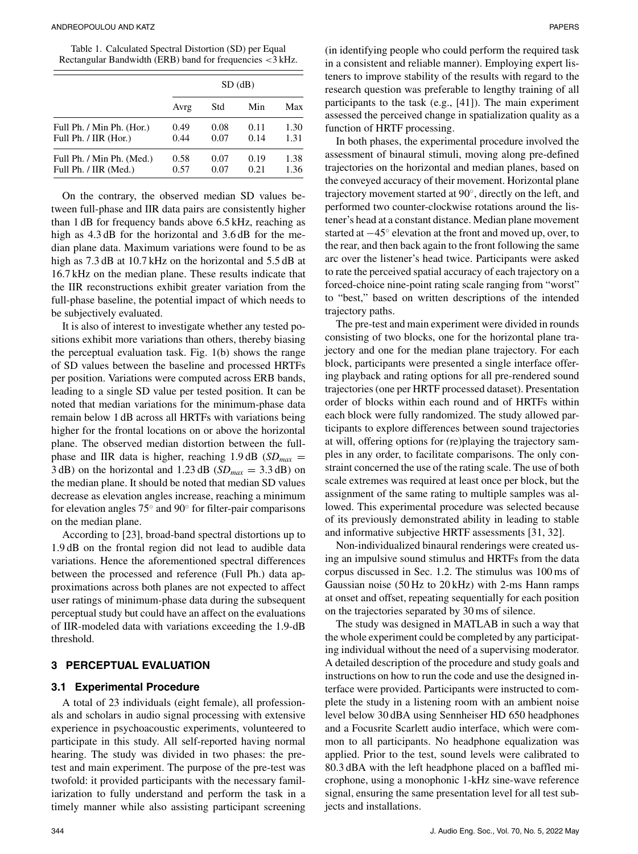Table 1. Calculated Spectral Distortion (SD) per Equal Rectangular Bandwidth (ERB) band for frequencies <3 kHz.

|                           | $SD$ (dB) |      |      |      |  |  |
|---------------------------|-----------|------|------|------|--|--|
|                           | Avrg      | Std  | Min  | Max  |  |  |
| Full Ph. / Min Ph. (Hor.) | 0.49      | 0.08 | 0.11 | 1.30 |  |  |
| Full Ph. / IIR (Hor.)     | 0.44      | 0.07 | 0.14 | 1.31 |  |  |
| Full Ph. / Min Ph. (Med.) | 0.58      | 0.07 | 0.19 | 1.38 |  |  |
| Full Ph. / IIR (Med.)     | 0.57      | 0.07 | 0.21 | 1.36 |  |  |

On the contrary, the observed median SD values between full-phase and IIR data pairs are consistently higher than 1 dB for frequency bands above 6.5 kHz, reaching as high as  $4.3$  dB for the horizontal and  $3.6$  dB for the median plane data. Maximum variations were found to be as high as 7.3 dB at 10.7 kHz on the horizontal and 5.5 dB at 16.7 kHz on the median plane. These results indicate that the IIR reconstructions exhibit greater variation from the full-phase baseline, the potential impact of which needs to be subjectively evaluated.

It is also of interest to investigate whether any tested positions exhibit more variations than others, thereby biasing the perceptual evaluation task. Fig. 1(b) shows the range of SD values between the baseline and processed HRTFs per position. Variations were computed across ERB bands, leading to a single SD value per tested position. It can be noted that median variations for the minimum-phase data remain below 1 dB across all HRTFs with variations being higher for the frontal locations on or above the horizontal plane. The observed median distortion between the fullphase and IIR data is higher, reaching 1.9 dB (*SDmax* = 3 dB) on the horizontal and 1.23 dB ( $SD_{max} = 3.3$  dB) on the median plane. It should be noted that median SD values decrease as elevation angles increase, reaching a minimum for elevation angles 75◦ and 90◦ for filter-pair comparisons on the median plane.

According to [23], broad-band spectral distortions up to 1.9 dB on the frontal region did not lead to audible data variations. Hence the aforementioned spectral differences between the processed and reference (Full Ph.) data approximations across both planes are not expected to affect user ratings of minimum-phase data during the subsequent perceptual study but could have an affect on the evaluations of IIR-modeled data with variations exceeding the 1.9-dB threshold.

#### **3 PERCEPTUAL EVALUATION**

#### **3.1 Experimental Procedure**

A total of 23 individuals (eight female), all professionals and scholars in audio signal processing with extensive experience in psychoacoustic experiments, volunteered to participate in this study. All self-reported having normal hearing. The study was divided in two phases: the pretest and main experiment. The purpose of the pre-test was twofold: it provided participants with the necessary familiarization to fully understand and perform the task in a timely manner while also assisting participant screening

(in identifying people who could perform the required task in a consistent and reliable manner). Employing expert listeners to improve stability of the results with regard to the research question was preferable to lengthy training of all participants to the task (e.g., [41]). The main experiment assessed the perceived change in spatialization quality as a function of HRTF processing.

In both phases, the experimental procedure involved the assessment of binaural stimuli, moving along pre-defined trajectories on the horizontal and median planes, based on the conveyed accuracy of their movement. Horizontal plane trajectory movement started at 90◦, directly on the left, and performed two counter-clockwise rotations around the listener's head at a constant distance. Median plane movement started at  $-45^\circ$  elevation at the front and moved up, over, to the rear, and then back again to the front following the same arc over the listener's head twice. Participants were asked to rate the perceived spatial accuracy of each trajectory on a forced-choice nine-point rating scale ranging from "worst" to "best," based on written descriptions of the intended trajectory paths.

The pre-test and main experiment were divided in rounds consisting of two blocks, one for the horizontal plane trajectory and one for the median plane trajectory. For each block, participants were presented a single interface offering playback and rating options for all pre-rendered sound trajectories (one per HRTF processed dataset). Presentation order of blocks within each round and of HRTFs within each block were fully randomized. The study allowed participants to explore differences between sound trajectories at will, offering options for (re)playing the trajectory samples in any order, to facilitate comparisons. The only constraint concerned the use of the rating scale. The use of both scale extremes was required at least once per block, but the assignment of the same rating to multiple samples was allowed. This experimental procedure was selected because of its previously demonstrated ability in leading to stable and informative subjective HRTF assessments [31, 32].

Non-individualized binaural renderings were created using an impulsive sound stimulus and HRTFs from the data corpus discussed in Sec. 1.2. The stimulus was 100 ms of Gaussian noise (50 Hz to 20 kHz) with 2-ms Hann ramps at onset and offset, repeating sequentially for each position on the trajectories separated by 30 ms of silence.

The study was designed in MATLAB in such a way that the whole experiment could be completed by any participating individual without the need of a supervising moderator. A detailed description of the procedure and study goals and instructions on how to run the code and use the designed interface were provided. Participants were instructed to complete the study in a listening room with an ambient noise level below 30 dBA using Sennheiser HD 650 headphones and a Focusrite Scarlett audio interface, which were common to all participants. No headphone equalization was applied. Prior to the test, sound levels were calibrated to 80.3 dBA with the left headphone placed on a baffled microphone, using a monophonic 1-kHz sine-wave reference signal, ensuring the same presentation level for all test subjects and installations.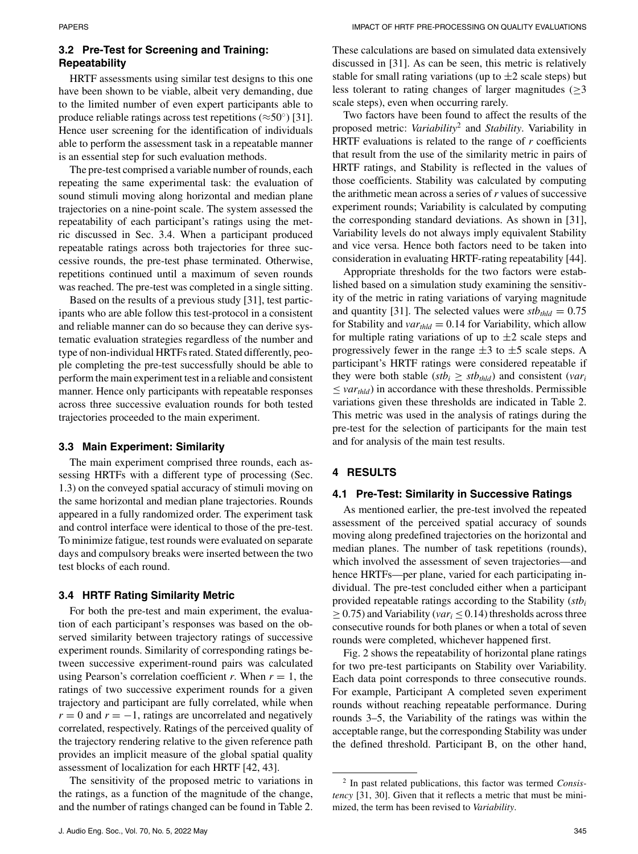### **3.2 Pre-Test for Screening and Training: Repeatability**

HRTF assessments using similar test designs to this one have been shown to be viable, albeit very demanding, due to the limited number of even expert participants able to produce reliable ratings across test repetitions ( $\approx$ 50°) [31]. Hence user screening for the identification of individuals able to perform the assessment task in a repeatable manner is an essential step for such evaluation methods.

The pre-test comprised a variable number of rounds, each repeating the same experimental task: the evaluation of sound stimuli moving along horizontal and median plane trajectories on a nine-point scale. The system assessed the repeatability of each participant's ratings using the metric discussed in Sec. 3.4. When a participant produced repeatable ratings across both trajectories for three successive rounds, the pre-test phase terminated. Otherwise, repetitions continued until a maximum of seven rounds was reached. The pre-test was completed in a single sitting.

Based on the results of a previous study [31], test participants who are able follow this test-protocol in a consistent and reliable manner can do so because they can derive systematic evaluation strategies regardless of the number and type of non-individual HRTFs rated. Stated differently, people completing the pre-test successfully should be able to perform the main experiment test in a reliable and consistent manner. Hence only participants with repeatable responses across three successive evaluation rounds for both tested trajectories proceeded to the main experiment.

#### **3.3 Main Experiment: Similarity**

The main experiment comprised three rounds, each assessing HRTFs with a different type of processing (Sec. 1.3) on the conveyed spatial accuracy of stimuli moving on the same horizontal and median plane trajectories. Rounds appeared in a fully randomized order. The experiment task and control interface were identical to those of the pre-test. To minimize fatigue, test rounds were evaluated on separate days and compulsory breaks were inserted between the two test blocks of each round.

#### **3.4 HRTF Rating Similarity Metric**

For both the pre-test and main experiment, the evaluation of each participant's responses was based on the observed similarity between trajectory ratings of successive experiment rounds. Similarity of corresponding ratings between successive experiment-round pairs was calculated using Pearson's correlation coefficient  $r$ . When  $r = 1$ , the ratings of two successive experiment rounds for a given trajectory and participant are fully correlated, while when  $r = 0$  and  $r = -1$ , ratings are uncorrelated and negatively correlated, respectively. Ratings of the perceived quality of the trajectory rendering relative to the given reference path provides an implicit measure of the global spatial quality assessment of localization for each HRTF [42, 43].

The sensitivity of the proposed metric to variations in the ratings, as a function of the magnitude of the change, and the number of ratings changed can be found in Table 2.

Two factors have been found to affect the results of the proposed metric: *Variability*<sup>2</sup> and *Stability*. Variability in HRTF evaluations is related to the range of *r* coefficients that result from the use of the similarity metric in pairs of HRTF ratings, and Stability is reflected in the values of those coefficients. Stability was calculated by computing the arithmetic mean across a series of *r* values of successive experiment rounds; Variability is calculated by computing the corresponding standard deviations. As shown in [31], Variability levels do not always imply equivalent Stability and vice versa. Hence both factors need to be taken into consideration in evaluating HRTF-rating repeatability [44].

Appropriate thresholds for the two factors were established based on a simulation study examining the sensitivity of the metric in rating variations of varying magnitude and quantity [31]. The selected values were  $\textit{stb}_{\textit{thld}} = 0.75$ for Stability and  $var_{thld} = 0.14$  for Variability, which allow for multiple rating variations of up to  $\pm 2$  scale steps and progressively fewer in the range  $\pm 3$  to  $\pm 5$  scale steps. A participant's HRTF ratings were considered repeatable if they were both stable ( $stb_i \geq stb_{thld}$ ) and consistent (*var<sub>i</sub>*)  $\langle var_{thld} \rangle$  in accordance with these thresholds. Permissible variations given these thresholds are indicated in Table 2. This metric was used in the analysis of ratings during the pre-test for the selection of participants for the main test and for analysis of the main test results.

## **4 RESULTS**

#### **4.1 Pre-Test: Similarity in Successive Ratings**

As mentioned earlier, the pre-test involved the repeated assessment of the perceived spatial accuracy of sounds moving along predefined trajectories on the horizontal and median planes. The number of task repetitions (rounds), which involved the assessment of seven trajectories—and hence HRTFs—per plane, varied for each participating individual. The pre-test concluded either when a participant provided repeatable ratings according to the Stability (*stbi*  $\geq$  0.75) and Variability (*var*<sub>i</sub>  $\leq$  0.14) thresholds across three consecutive rounds for both planes or when a total of seven rounds were completed, whichever happened first.

Fig. 2 shows the repeatability of horizontal plane ratings for two pre-test participants on Stability over Variability. Each data point corresponds to three consecutive rounds. For example, Participant A completed seven experiment rounds without reaching repeatable performance. During rounds 3–5, the Variability of the ratings was within the acceptable range, but the corresponding Stability was under the defined threshold. Participant B, on the other hand,

<sup>2</sup> In past related publications, this factor was termed *Consistency* [31, 30]. Given that it reflects a metric that must be minimized, the term has been revised to *Variability*.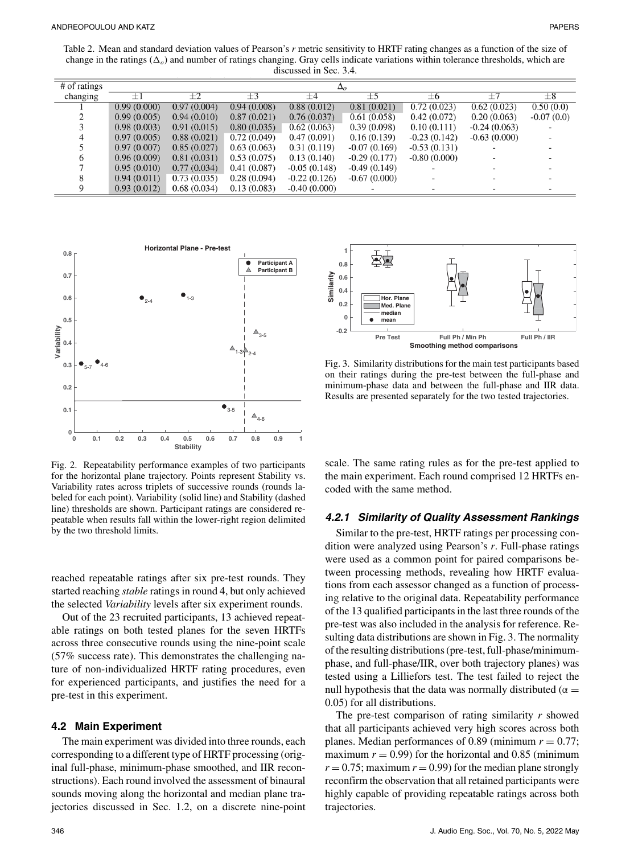Table 2. Mean and standard deviation values of Pearson's *r* metric sensitivity to HRTF rating changes as a function of the size of change in the ratings  $(\Delta_o)$  and number of ratings changing. Gray cells indicate variations within tolerance thresholds, which are discussed in Sec. 3.4.

| $#$ of ratings | $\Delta$ <sub>o</sub> |             |             |                |                |                          |                |              |
|----------------|-----------------------|-------------|-------------|----------------|----------------|--------------------------|----------------|--------------|
| changing       | $\pm 1$               | $\pm 2$     | $\pm 3$     | $\pm 4$        | $\pm$ 5        | $\pm 6$                  | $+7$           | $\pm 8$      |
|                | 0.99(0.000)           | 0.97(0.004) | 0.94(0.008) | 0.88(0.012)    | 0.81(0.021)    | 0.72(0.023)              | 0.62(0.023)    | 0.50(0.0)    |
|                | 0.99(0.005)           | 0.94(0.010) | 0.87(0.021) | 0.76(0.037)    | 0.61(0.058)    | 0.42(0.072)              | 0.20(0.063)    | $-0.07(0.0)$ |
|                | 0.98(0.003)           | 0.91(0.015) | 0.80(0.035) | 0.62(0.063)    | 0.39(0.098)    | 0.10(0.111)              | $-0.24(0.063)$ |              |
|                | 0.97(0.005)           | 0.88(0.021) | 0.72(0.049) | 0.47(0.091)    | 0.16(0.139)    | $-0.23(0.142)$           | $-0.63(0.000)$ |              |
|                | 0.97(0.007)           | 0.85(0.027) | 0.63(0.063) | 0.31(0.119)    | $-0.07(0.169)$ | $-0.53(0.131)$           |                |              |
|                | 0.96(0.009)           | 0.81(0.031) | 0.53(0.075) | 0.13(0.140)    | $-0.29(0.177)$ | $-0.80(0.000)$           |                |              |
|                | 0.95(0.010)           | 0.77(0.034) | 0.41(0.087) | $-0.05(0.148)$ | $-0.49(0.149)$ |                          |                |              |
|                | 0.94(0.011)           | 0.73(0.035) | 0.28(0.094) | $-0.22(0.126)$ | $-0.67(0.000)$ |                          |                |              |
|                | 0.93(0.012)           | 0.68(0.034) | 0.13(0.083) | $-0.40(0.000)$ |                | $\overline{\phantom{0}}$ |                |              |



Fig. 2. Repeatability performance examples of two participants for the horizontal plane trajectory. Points represent Stability vs. Variability rates across triplets of successive rounds (rounds labeled for each point). Variability (solid line) and Stability (dashed line) thresholds are shown. Participant ratings are considered repeatable when results fall within the lower-right region delimited by the two threshold limits.

reached repeatable ratings after six pre-test rounds. They started reaching *stable* ratings in round 4, but only achieved the selected *Variability* levels after six experiment rounds.

Out of the 23 recruited participants, 13 achieved repeatable ratings on both tested planes for the seven HRTFs across three consecutive rounds using the nine-point scale (57% success rate). This demonstrates the challenging nature of non-individualized HRTF rating procedures, even for experienced participants, and justifies the need for a pre-test in this experiment.

#### **4.2 Main Experiment**

The main experiment was divided into three rounds, each corresponding to a different type of HRTF processing (original full-phase, minimum-phase smoothed, and IIR reconstructions). Each round involved the assessment of binaural sounds moving along the horizontal and median plane trajectories discussed in Sec. 1.2, on a discrete nine-point



Fig. 3. Similarity distributions for the main test participants based on their ratings during the pre-test between the full-phase and minimum-phase data and between the full-phase and IIR data. Results are presented separately for the two tested trajectories.

scale. The same rating rules as for the pre-test applied to the main experiment. Each round comprised 12 HRTFs encoded with the same method.

#### *4.2.1 Similarity of Quality Assessment Rankings*

Similar to the pre-test, HRTF ratings per processing condition were analyzed using Pearson's *r*. Full-phase ratings were used as a common point for paired comparisons between processing methods, revealing how HRTF evaluations from each assessor changed as a function of processing relative to the original data. Repeatability performance of the 13 qualified participants in the last three rounds of the pre-test was also included in the analysis for reference. Resulting data distributions are shown in Fig. 3. The normality of the resulting distributions (pre-test, full-phase/minimumphase, and full-phase/IIR, over both trajectory planes) was tested using a Lilliefors test. The test failed to reject the null hypothesis that the data was normally distributed ( $\alpha =$ 0.05) for all distributions.

The pre-test comparison of rating similarity *r* showed that all participants achieved very high scores across both planes. Median performances of 0.89 (minimum  $r = 0.77$ ; maximum  $r = 0.99$ ) for the horizontal and 0.85 (minimum  $r = 0.75$ ; maximum  $r = 0.99$ ) for the median plane strongly reconfirm the observation that all retained participants were highly capable of providing repeatable ratings across both trajectories.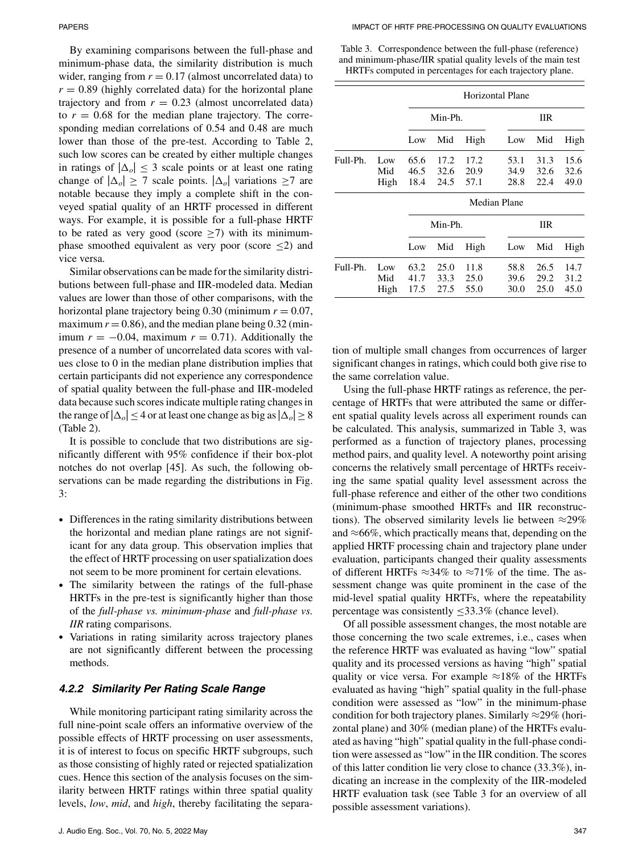By examining comparisons between the full-phase and minimum-phase data, the similarity distribution is much wider, ranging from  $r = 0.17$  (almost uncorrelated data) to  $r = 0.89$  (highly correlated data) for the horizontal plane trajectory and from  $r = 0.23$  (almost uncorrelated data) to  $r = 0.68$  for the median plane trajectory. The corresponding median correlations of 0.54 and 0.48 are much lower than those of the pre-test. According to Table 2, such low scores can be created by either multiple changes in ratings of  $|\Delta_o| \leq 3$  scale points or at least one rating change of  $|\Delta_o| \ge 7$  scale points.  $|\Delta_o|$  variations  $\ge 7$  are notable because they imply a complete shift in the conveyed spatial quality of an HRTF processed in different ways. For example, it is possible for a full-phase HRTF to be rated as very good (score  $\geq$ 7) with its minimumphase smoothed equivalent as very poor (score  $\leq$ 2) and vice versa.

Similar observations can be made for the similarity distributions between full-phase and IIR-modeled data. Median values are lower than those of other comparisons, with the horizontal plane trajectory being 0.30 (minimum  $r = 0.07$ , maximum  $r = 0.86$ ), and the median plane being  $0.32$  (minimum  $r = -0.04$ , maximum  $r = 0.71$ ). Additionally the presence of a number of uncorrelated data scores with values close to 0 in the median plane distribution implies that certain participants did not experience any correspondence of spatial quality between the full-phase and IIR-modeled data because such scores indicate multiple rating changes in the range of  $|\Delta_o| \leq 4$  or at least one change as big as  $|\Delta_o| \geq 8$ (Table 2).

It is possible to conclude that two distributions are significantly different with 95% confidence if their box-plot notches do not overlap [45]. As such, the following observations can be made regarding the distributions in Fig. 3:

- Differences in the rating similarity distributions between the horizontal and median plane ratings are not significant for any data group. This observation implies that the effect of HRTF processing on user spatialization does not seem to be more prominent for certain elevations.
- The similarity between the ratings of the full-phase HRTFs in the pre-test is significantly higher than those of the *full-phase vs. minimum-phase* and *full-phase vs. IIR* rating comparisons.
- Variations in rating similarity across trajectory planes are not significantly different between the processing methods.

#### *4.2.2 Similarity Per Rating Scale Range*

While monitoring participant rating similarity across the full nine-point scale offers an informative overview of the possible effects of HRTF processing on user assessments, it is of interest to focus on specific HRTF subgroups, such as those consisting of highly rated or rejected spatialization cues. Hence this section of the analysis focuses on the similarity between HRTF ratings within three spatial quality levels, *low*, *mid*, and *high*, thereby facilitating the separa-

Table 3. Correspondence between the full-phase (reference) and minimum-phase/IIR spatial quality levels of the main test HRTFs computed in percentages for each trajectory plane.

|          |      | <b>Horizontal Plane</b> |         |      |              |            |      |  |
|----------|------|-------------------------|---------|------|--------------|------------|------|--|
|          |      | Min-Ph.                 |         |      |              | <b>IIR</b> |      |  |
|          |      | Low                     | Mid     | High | Low          | Mid        | High |  |
| Full-Ph. | Low  | 65.6                    | 17.2    | 17.2 | 53.1         | 31.3       | 15.6 |  |
|          | Mid  | 46.5                    | 32.6    | 20.9 | 34.9         | 32.6       | 32.6 |  |
|          | High | 18.4                    | 24.5    | 57.1 | 28.8         | 22.4       | 49.0 |  |
|          |      |                         |         |      | Median Plane |            |      |  |
|          |      |                         | Min-Ph. |      |              | <b>IIR</b> |      |  |
|          |      | Low                     | Mid     | High | Low          | Mid        | High |  |
| Full-Ph. | Low  | 63.2                    | 25.0    | 11.8 | 58.8         | 26.5       | 14.7 |  |

tion of multiple small changes from occurrences of larger significant changes in ratings, which could both give rise to the same correlation value.

Mid 41.7 33.3 25.0 39.6 29.2 31.2 High 17.5 27.5 55.0 30.0 25.0 45.0

Using the full-phase HRTF ratings as reference, the percentage of HRTFs that were attributed the same or different spatial quality levels across all experiment rounds can be calculated. This analysis, summarized in Table 3, was performed as a function of trajectory planes, processing method pairs, and quality level. A noteworthy point arising concerns the relatively small percentage of HRTFs receiving the same spatial quality level assessment across the full-phase reference and either of the other two conditions (minimum-phase smoothed HRTFs and IIR reconstructions). The observed similarity levels lie between  $\approx$ 29% and  $\approx 66\%$ , which practically means that, depending on the applied HRTF processing chain and trajectory plane under evaluation, participants changed their quality assessments of different HRTFs  $\approx$ 34% to  $\approx$ 71% of the time. The assessment change was quite prominent in the case of the mid-level spatial quality HRTFs, where the repeatability percentage was consistently  $\leq$ 33.3% (chance level).

Of all possible assessment changes, the most notable are those concerning the two scale extremes, i.e., cases when the reference HRTF was evaluated as having "low" spatial quality and its processed versions as having "high" spatial quality or vice versa. For example  $\approx 18\%$  of the HRTFs evaluated as having "high" spatial quality in the full-phase condition were assessed as "low" in the minimum-phase condition for both trajectory planes. Similarly  $\approx$ 29% (horizontal plane) and 30% (median plane) of the HRTFs evaluated as having "high" spatial quality in the full-phase condition were assessed as "low" in the IIR condition. The scores of this latter condition lie very close to chance (33.3%), indicating an increase in the complexity of the IIR-modeled HRTF evaluation task (see Table 3 for an overview of all possible assessment variations).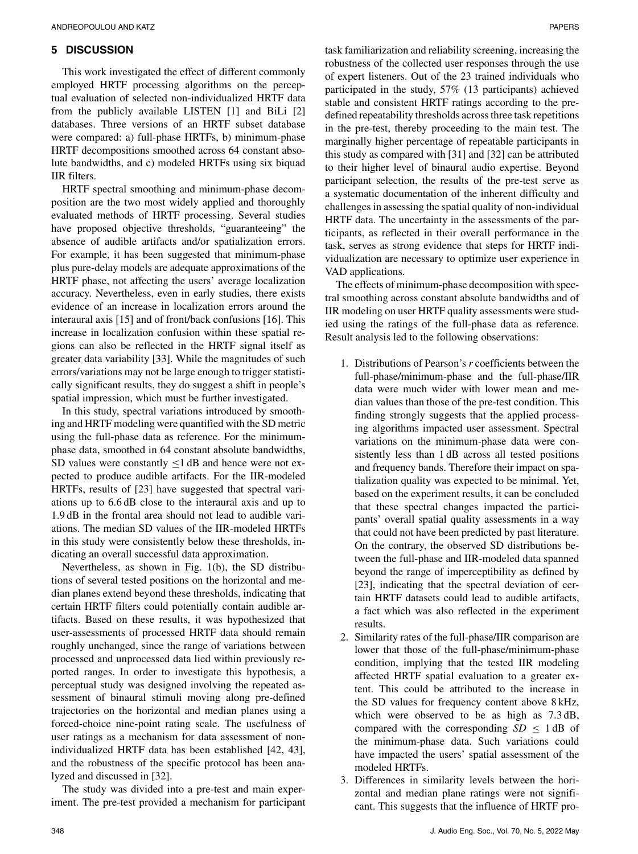#### **5 DISCUSSION**

This work investigated the effect of different commonly employed HRTF processing algorithms on the perceptual evaluation of selected non-individualized HRTF data from the publicly available LISTEN [1] and BiLi [2] databases. Three versions of an HRTF subset database were compared: a) full-phase HRTFs, b) minimum-phase HRTF decompositions smoothed across 64 constant absolute bandwidths, and c) modeled HRTFs using six biquad IIR filters.

HRTF spectral smoothing and minimum-phase decomposition are the two most widely applied and thoroughly evaluated methods of HRTF processing. Several studies have proposed objective thresholds, "guaranteeing" the absence of audible artifacts and/or spatialization errors. For example, it has been suggested that minimum-phase plus pure-delay models are adequate approximations of the HRTF phase, not affecting the users' average localization accuracy. Nevertheless, even in early studies, there exists evidence of an increase in localization errors around the interaural axis [15] and of front/back confusions [16]. This increase in localization confusion within these spatial regions can also be reflected in the HRTF signal itself as greater data variability [33]. While the magnitudes of such errors/variations may not be large enough to trigger statistically significant results, they do suggest a shift in people's spatial impression, which must be further investigated.

In this study, spectral variations introduced by smoothing and HRTF modeling were quantified with the SD metric using the full-phase data as reference. For the minimumphase data, smoothed in 64 constant absolute bandwidths, SD values were constantly  $\leq 1$  dB and hence were not expected to produce audible artifacts. For the IIR-modeled HRTFs, results of [23] have suggested that spectral variations up to 6.6 dB close to the interaural axis and up to 1.9 dB in the frontal area should not lead to audible variations. The median SD values of the IIR-modeled HRTFs in this study were consistently below these thresholds, indicating an overall successful data approximation.

Nevertheless, as shown in Fig. 1(b), the SD distributions of several tested positions on the horizontal and median planes extend beyond these thresholds, indicating that certain HRTF filters could potentially contain audible artifacts. Based on these results, it was hypothesized that user-assessments of processed HRTF data should remain roughly unchanged, since the range of variations between processed and unprocessed data lied within previously reported ranges. In order to investigate this hypothesis, a perceptual study was designed involving the repeated assessment of binaural stimuli moving along pre-defined trajectories on the horizontal and median planes using a forced-choice nine-point rating scale. The usefulness of user ratings as a mechanism for data assessment of nonindividualized HRTF data has been established [42, 43], and the robustness of the specific protocol has been analyzed and discussed in [32].

The study was divided into a pre-test and main experiment. The pre-test provided a mechanism for participant

task familiarization and reliability screening, increasing the robustness of the collected user responses through the use of expert listeners. Out of the 23 trained individuals who participated in the study, 57% (13 participants) achieved stable and consistent HRTF ratings according to the predefined repeatability thresholds across three task repetitions in the pre-test, thereby proceeding to the main test. The marginally higher percentage of repeatable participants in this study as compared with [31] and [32] can be attributed to their higher level of binaural audio expertise. Beyond participant selection, the results of the pre-test serve as a systematic documentation of the inherent difficulty and challenges in assessing the spatial quality of non-individual HRTF data. The uncertainty in the assessments of the participants, as reflected in their overall performance in the task, serves as strong evidence that steps for HRTF individualization are necessary to optimize user experience in VAD applications.

The effects of minimum-phase decomposition with spectral smoothing across constant absolute bandwidths and of IIR modeling on user HRTF quality assessments were studied using the ratings of the full-phase data as reference. Result analysis led to the following observations:

- 1. Distributions of Pearson's *r* coefficients between the full-phase/minimum-phase and the full-phase/IIR data were much wider with lower mean and median values than those of the pre-test condition. This finding strongly suggests that the applied processing algorithms impacted user assessment. Spectral variations on the minimum-phase data were consistently less than 1 dB across all tested positions and frequency bands. Therefore their impact on spatialization quality was expected to be minimal. Yet, based on the experiment results, it can be concluded that these spectral changes impacted the participants' overall spatial quality assessments in a way that could not have been predicted by past literature. On the contrary, the observed SD distributions between the full-phase and IIR-modeled data spanned beyond the range of imperceptibility as defined by [23], indicating that the spectral deviation of certain HRTF datasets could lead to audible artifacts, a fact which was also reflected in the experiment results.
- 2. Similarity rates of the full-phase/IIR comparison are lower that those of the full-phase/minimum-phase condition, implying that the tested IIR modeling affected HRTF spatial evaluation to a greater extent. This could be attributed to the increase in the SD values for frequency content above 8 kHz, which were observed to be as high as 7.3 dB, compared with the corresponding  $SD \leq 1$  dB of the minimum-phase data. Such variations could have impacted the users' spatial assessment of the modeled HRTFs.
- 3. Differences in similarity levels between the horizontal and median plane ratings were not significant. This suggests that the influence of HRTF pro-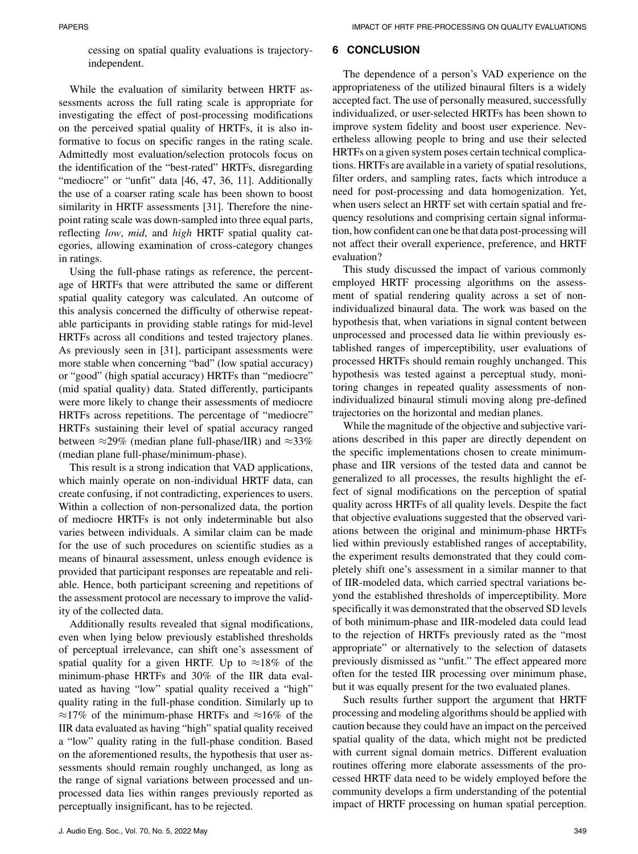cessing on spatial quality evaluations is trajectoryindependent.

While the evaluation of similarity between HRTF assessments across the full rating scale is appropriate for investigating the effect of post-processing modifications on the perceived spatial quality of HRTFs, it is also informative to focus on specific ranges in the rating scale. Admittedly most evaluation/selection protocols focus on the identification of the "best-rated" HRTFs, disregarding "mediocre" or "unfit" data [46, 47, 36, 11]. Additionally the use of a coarser rating scale has been shown to boost similarity in HRTF assessments [31]. Therefore the ninepoint rating scale was down-sampled into three equal parts, reflecting *low*, *mid*, and *high* HRTF spatial quality categories, allowing examination of cross-category changes in ratings.

Using the full-phase ratings as reference, the percentage of HRTFs that were attributed the same or different spatial quality category was calculated. An outcome of this analysis concerned the difficulty of otherwise repeatable participants in providing stable ratings for mid-level HRTFs across all conditions and tested trajectory planes. As previously seen in [31], participant assessments were more stable when concerning "bad" (low spatial accuracy) or "good" (high spatial accuracy) HRTFs than "mediocre" (mid spatial quality) data. Stated differently, participants were more likely to change their assessments of mediocre HRTFs across repetitions. The percentage of "mediocre" HRTFs sustaining their level of spatial accuracy ranged between  $\approx$ 29% (median plane full-phase/IIR) and  $\approx$ 33% (median plane full-phase/minimum-phase).

This result is a strong indication that VAD applications, which mainly operate on non-individual HRTF data, can create confusing, if not contradicting, experiences to users. Within a collection of non-personalized data, the portion of mediocre HRTFs is not only indeterminable but also varies between individuals. A similar claim can be made for the use of such procedures on scientific studies as a means of binaural assessment, unless enough evidence is provided that participant responses are repeatable and reliable. Hence, both participant screening and repetitions of the assessment protocol are necessary to improve the validity of the collected data.

Additionally results revealed that signal modifications, even when lying below previously established thresholds of perceptual irrelevance, can shift one's assessment of spatial quality for a given HRTF. Up to  $\approx 18\%$  of the minimum-phase HRTFs and 30% of the IIR data evaluated as having "low" spatial quality received a "high" quality rating in the full-phase condition. Similarly up to  $≈17%$  of the minimum-phase HRTFs and  $≈16%$  of the IIR data evaluated as having "high" spatial quality received a "low" quality rating in the full-phase condition. Based on the aforementioned results, the hypothesis that user assessments should remain roughly unchanged, as long as the range of signal variations between processed and unprocessed data lies within ranges previously reported as perceptually insignificant, has to be rejected.

The dependence of a person's VAD experience on the appropriateness of the utilized binaural filters is a widely accepted fact. The use of personally measured, successfully individualized, or user-selected HRTFs has been shown to improve system fidelity and boost user experience. Nevertheless allowing people to bring and use their selected HRTFs on a given system poses certain technical complications. HRTFs are available in a variety of spatial resolutions, filter orders, and sampling rates, facts which introduce a need for post-processing and data homogenization. Yet, when users select an HRTF set with certain spatial and frequency resolutions and comprising certain signal information, how confident can one be that data post-processing will not affect their overall experience, preference, and HRTF evaluation?

This study discussed the impact of various commonly employed HRTF processing algorithms on the assessment of spatial rendering quality across a set of nonindividualized binaural data. The work was based on the hypothesis that, when variations in signal content between unprocessed and processed data lie within previously established ranges of imperceptibility, user evaluations of processed HRTFs should remain roughly unchanged. This hypothesis was tested against a perceptual study, monitoring changes in repeated quality assessments of nonindividualized binaural stimuli moving along pre-defined trajectories on the horizontal and median planes.

While the magnitude of the objective and subjective variations described in this paper are directly dependent on the specific implementations chosen to create minimumphase and IIR versions of the tested data and cannot be generalized to all processes, the results highlight the effect of signal modifications on the perception of spatial quality across HRTFs of all quality levels. Despite the fact that objective evaluations suggested that the observed variations between the original and minimum-phase HRTFs lied within previously established ranges of acceptability, the experiment results demonstrated that they could completely shift one's assessment in a similar manner to that of IIR-modeled data, which carried spectral variations beyond the established thresholds of imperceptibility. More specifically it was demonstrated that the observed SD levels of both minimum-phase and IIR-modeled data could lead to the rejection of HRTFs previously rated as the "most appropriate" or alternatively to the selection of datasets previously dismissed as "unfit." The effect appeared more often for the tested IIR processing over minimum phase, but it was equally present for the two evaluated planes.

Such results further support the argument that HRTF processing and modeling algorithms should be applied with caution because they could have an impact on the perceived spatial quality of the data, which might not be predicted with current signal domain metrics. Different evaluation routines offering more elaborate assessments of the processed HRTF data need to be widely employed before the community develops a firm understanding of the potential impact of HRTF processing on human spatial perception.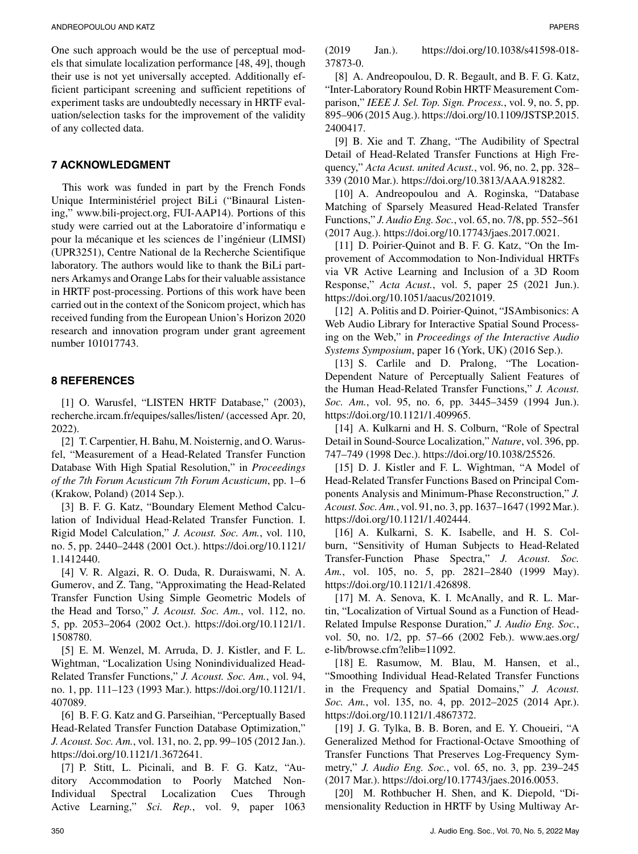One such approach would be the use of perceptual models that simulate localization performance [48, 49], though their use is not yet universally accepted. Additionally efficient participant screening and sufficient repetitions of experiment tasks are undoubtedly necessary in HRTF evaluation/selection tasks for the improvement of the validity of any collected data.

#### **7 ACKNOWLEDGMENT**

This work was funded in part by the French Fonds Unique Interministériel project BiLi ("Binaural Listening," [www.bili-project.org,](http://www.bili-project.org) FUI-AAP14). Portions of this study were carried out at the Laboratoire d'informatiqu e pour la mécanique et les sciences de l'ingénieur (LIMSI) (UPR3251), Centre National de la Recherche Scientifique laboratory. The authors would like to thank the BiLi partners Arkamys and Orange Labs for their valuable assistance in HRTF post-processing. Portions of this work have been carried out in the context of the Sonicom project, which has received funding from the European Union's Horizon 2020 research and innovation program under grant agreement number 101017743.

#### **8 REFERENCES**

[1] O. Warusfel, "LISTEN HRTF Database," (2003), [recherche.ircam.fr/equipes/salles/listen/](http://recherche.ircam.fr/equipes/salles/listen/) (accessed Apr. 20, 2022).

[2] T. Carpentier, H. Bahu, M. Noisternig, and O. Warusfel, "Measurement of a Head-Related Transfer Function Database With High Spatial Resolution," in *Proceedings of the 7th Forum Acusticum 7th Forum Acusticum*, pp. 1–6 (Krakow, Poland) (2014 Sep.).

[3] B. F. G. Katz, "Boundary Element Method Calculation of Individual Head-Related Transfer Function. I. Rigid Model Calculation," *J. Acoust. Soc. Am.*, vol. 110, no. 5, pp. 2440–2448 (2001 Oct.). https://doi.org/10.1121/ 1.1412440.

[4] V. R. Algazi, R. O. Duda, R. Duraiswami, N. A. Gumerov, and Z. Tang, "Approximating the Head-Related Transfer Function Using Simple Geometric Models of the Head and Torso," *J. Acoust. Soc. Am.*, vol. 112, no. 5, pp. 2053–2064 (2002 Oct.). https://doi.org/10.1121/1. 1508780.

[5] E. M. Wenzel, M. Arruda, D. J. Kistler, and F. L. Wightman, "Localization Using Nonindividualized Head-Related Transfer Functions," *J. Acoust. Soc. Am.*, vol. 94, no. 1, pp. 111–123 (1993 Mar.). https://doi.org/10.1121/1. 407089.

[6] B. F. G. Katz and G. Parseihian, "Perceptually Based Head-Related Transfer Function Database Optimization," *J. Acoust. Soc. Am.*, vol. 131, no. 2, pp. 99–105 (2012 Jan.). https://doi.org/10.1121/1.3672641.

[7] P. Stitt, L. Picinali, and B. F. G. Katz, "Auditory Accommodation to Poorly Matched Non-Individual Spectral Localization Cues Through Active Learning," *Sci. Rep.*, vol. 9, paper 1063 (2019 Jan.). https://doi.org/10.1038/s41598-018- 37873-0.

[8] A. Andreopoulou, D. R. Begault, and B. F. G. Katz, "Inter-Laboratory Round Robin HRTF Measurement Comparison," *IEEE J. Sel. Top. Sign. Process.*, vol. 9, no. 5, pp. 895–906 (2015 Aug.). https://doi.org/10.1109/JSTSP.2015. 2400417.

[9] B. Xie and T. Zhang, "The Audibility of Spectral Detail of Head-Related Transfer Functions at High Frequency," *Acta Acust. united Acust.*, vol. 96, no. 2, pp. 328– 339 (2010 Mar.). https://doi.org/10.3813/AAA.918282.

[10] A. Andreopoulou and A. Roginska, "Database Matching of Sparsely Measured Head-Related Transfer Functions," *J. Audio Eng. Soc.*, vol. 65, no. 7/8, pp. 552–561 (2017 Aug.). https://doi.org/10.17743/jaes.2017.0021.

[11] D. Poirier-Quinot and B. F. G. Katz, "On the Improvement of Accommodation to Non-Individual HRTFs via VR Active Learning and Inclusion of a 3D Room Response," *Acta Acust.*, vol. 5, paper 25 (2021 Jun.). https://doi.org/10.1051/aacus/2021019.

[12] A. Politis and D. Poirier-Quinot, "JSAmbisonics: A Web Audio Library for Interactive Spatial Sound Processing on the Web," in *Proceedings of the Interactive Audio Systems Symposium*, paper 16 (York, UK) (2016 Sep.).

[13] S. Carlile and D. Pralong, "The Location-Dependent Nature of Perceptually Salient Features of the Human Head-Related Transfer Functions," *J. Acoust. Soc. Am.*, vol. 95, no. 6, pp. 3445–3459 (1994 Jun.). https://doi.org/10.1121/1.409965.

[14] A. Kulkarni and H. S. Colburn, "Role of Spectral Detail in Sound-Source Localization," *Nature*, vol. 396, pp. 747–749 (1998 Dec.). https://doi.org/10.1038/25526.

[15] D. J. Kistler and F. L. Wightman, "A Model of Head-Related Transfer Functions Based on Principal Components Analysis and Minimum-Phase Reconstruction," *J. Acoust. Soc. Am.*, vol. 91, no. 3, pp. 1637–1647 (1992 Mar.). https://doi.org/10.1121/1.402444.

[16] A. Kulkarni, S. K. Isabelle, and H. S. Colburn, "Sensitivity of Human Subjects to Head-Related Transfer-Function Phase Spectra," *J. Acoust. Soc. Am.*, vol. 105, no. 5, pp. 2821–2840 (1999 May). https://doi.org/10.1121/1.426898.

[17] M. A. Senova, K. I. McAnally, and R. L. Martin, "Localization of Virtual Sound as a Function of Head-Related Impulse Response Duration," *J. Audio Eng. Soc.*, vol. 50, no. 1/2, pp. 57–66 (2002 Feb.). [www.aes.org/](http://www.aes.org/e-lib/browse.cfm?elib=11092) [e-lib/browse.cfm?elib=11092.](http://www.aes.org/e-lib/browse.cfm?elib=11092)

[18] E. Rasumow, M. Blau, M. Hansen, et al., "Smoothing Individual Head-Related Transfer Functions in the Frequency and Spatial Domains," *J. Acoust. Soc. Am.*, vol. 135, no. 4, pp. 2012–2025 (2014 Apr.). https://doi.org/10.1121/1.4867372.

[19] J. G. Tylka, B. B. Boren, and E. Y. Choueiri, "A Generalized Method for Fractional-Octave Smoothing of Transfer Functions That Preserves Log-Frequency Symmetry," *J. Audio Eng. Soc.*, vol. 65, no. 3, pp. 239–245 (2017 Mar.). https://doi.org/10.17743/jaes.2016.0053.

[20] M. Rothbucher H. Shen, and K. Diepold, "Dimensionality Reduction in HRTF by Using Multiway Ar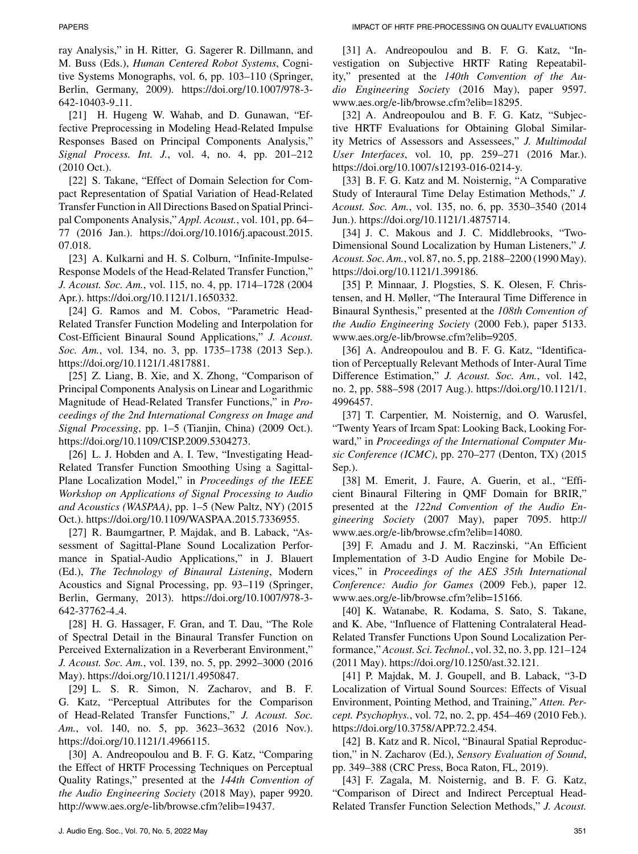ray Analysis," in H. Ritter, G. Sagerer R. Dillmann, and M. Buss (Eds.), *Human Centered Robot Systems*, Cognitive Systems Monographs, vol. 6, pp. 103–110 (Springer, Berlin, Germany, 2009). https://doi.org/10.1007/978-3- 642-10403-9 11.

[21] H. Hugeng W. Wahab, and D. Gunawan, "Effective Preprocessing in Modeling Head-Related Impulse Responses Based on Principal Components Analysis," *Signal Process. Int. J.*, vol. 4, no. 4, pp. 201–212 (2010 Oct.).

[22] S. Takane, "Effect of Domain Selection for Compact Representation of Spatial Variation of Head-Related Transfer Function in All Directions Based on Spatial Principal Components Analysis," *Appl. Acoust.*, vol. 101, pp. 64– 77 (2016 Jan.). https://doi.org/10.1016/j.apacoust.2015. 07.018.

[23] A. Kulkarni and H. S. Colburn, "Infinite-Impulse-Response Models of the Head-Related Transfer Function," *J. Acoust. Soc. Am.*, vol. 115, no. 4, pp. 1714–1728 (2004 Apr.). https://doi.org/10.1121/1.1650332.

[24] G. Ramos and M. Cobos, "Parametric Head-Related Transfer Function Modeling and Interpolation for Cost-Efficient Binaural Sound Applications," *J. Acoust. Soc. Am.*, vol. 134, no. 3, pp. 1735–1738 (2013 Sep.). https://doi.org/10.1121/1.4817881.

[25] Z. Liang, B. Xie, and X. Zhong, "Comparison of Principal Components Analysis on Linear and Logarithmic Magnitude of Head-Related Transfer Functions," in *Proceedings of the 2nd International Congress on Image and Signal Processing*, pp. 1–5 (Tianjin, China) (2009 Oct.). https://doi.org/10.1109/CISP.2009.5304273.

[26] L. J. Hobden and A. I. Tew, "Investigating Head-Related Transfer Function Smoothing Using a Sagittal-Plane Localization Model," in *Proceedings of the IEEE Workshop on Applications of Signal Processing to Audio and Acoustics (WASPAA)*, pp. 1–5 (New Paltz, NY) (2015 Oct.). https://doi.org/10.1109/WASPAA.2015.7336955.

[27] R. Baumgartner, P. Majdak, and B. Laback, "Assessment of Sagittal-Plane Sound Localization Performance in Spatial-Audio Applications," in J. Blauert (Ed.), *The Technology of Binaural Listening*, Modern Acoustics and Signal Processing, pp. 93–119 (Springer, Berlin, Germany, 2013). https://doi.org/10.1007/978-3- 642-37762-4 4.

[28] H. G. Hassager, F. Gran, and T. Dau, "The Role of Spectral Detail in the Binaural Transfer Function on Perceived Externalization in a Reverberant Environment," *J. Acoust. Soc. Am.*, vol. 139, no. 5, pp. 2992–3000 (2016 May). https://doi.org/10.1121/1.4950847.

[29] L. S. R. Simon, N. Zacharov, and B. F. G. Katz, "Perceptual Attributes for the Comparison of Head-Related Transfer Functions," *J. Acoust. Soc. Am.*, vol. 140, no. 5, pp. 3623–3632 (2016 Nov.). https://doi.org/10.1121/1.4966115.

[30] A. Andreopoulou and B. F. G. Katz, "Comparing the Effect of HRTF Processing Techniques on Perceptual Quality Ratings," presented at the *144th Convention of the Audio Engineering Society* (2018 May), paper 9920. [http://www.aes.org/e-lib/browse.cfm?elib=19437.](http://www.aes.org/e-lib/browse.cfm?elib=19437)

[31] A. Andreopoulou and B. F. G. Katz, "Investigation on Subjective HRTF Rating Repeatability," presented at the *140th Convention of the Audio Engineering Society* (2016 May), paper 9597. [www.aes.org/e-lib/browse.cfm?elib=18295.](file:www.aes.org/e-lib/browse.cfm?elib=18295)

[32] A. Andreopoulou and B. F. G. Katz, "Subjective HRTF Evaluations for Obtaining Global Similarity Metrics of Assessors and Assessees," *J. Multimodal User Interfaces*, vol. 10, pp. 259–271 (2016 Mar.). https://doi.org/10.1007/s12193-016-0214-y.

[33] B. F. G. Katz and M. Noisternig, "A Comparative Study of Interaural Time Delay Estimation Methods," *J. Acoust. Soc. Am.*, vol. 135, no. 6, pp. 3530–3540 (2014 Jun.). https://doi.org/10.1121/1.4875714.

[34] J. C. Makous and J. C. Middlebrooks, "Two-Dimensional Sound Localization by Human Listeners," *J. Acoust. Soc. Am.*, vol. 87, no. 5, pp. 2188–2200 (1990 May). https://doi.org/10.1121/1.399186.

[35] P. Minnaar, J. Plogsties, S. K. Olesen, F. Christensen, and H. Møller, "The Interaural Time Difference in Binaural Synthesis," presented at the *108th Convention of the Audio Engineering Society* (2000 Feb.), paper 5133. [www.aes.org/e-lib/browse.cfm?elib=9205.](http://www.aes.org/e-lib/browse.cfm?elib=9205)

[36] A. Andreopoulou and B. F. G. Katz, "Identification of Perceptually Relevant Methods of Inter-Aural Time Difference Estimation," *J. Acoust. Soc. Am.*, vol. 142, no. 2, pp. 588–598 (2017 Aug.). https://doi.org/10.1121/1. 4996457.

[37] T. Carpentier, M. Noisternig, and O. Warusfel, "Twenty Years of Ircam Spat: Looking Back, Looking Forward," in *Proceedings of the International Computer Music Conference (ICMC)*, pp. 270–277 (Denton, TX) (2015 Sep.).

[38] M. Emerit, J. Faure, A. Guerin, et al., "Efficient Binaural Filtering in QMF Domain for BRIR," presented at the *122nd Convention of the Audio Engineering Society* (2007 May), paper 7095. [http://](http://www.aes.org/e-lib/browse.cfm?elib=14080) [www.aes.org/e-lib/browse.cfm?elib=14080.](http://www.aes.org/e-lib/browse.cfm?elib=14080)

[39] F. Amadu and J. M. Raczinski, "An Efficient Implementation of 3-D Audio Engine for Mobile Devices," in *Proceedings of the AES 35th International Conference: Audio for Games* (2009 Feb.), paper 12. [www.aes.org/e-lib/browse.cfm?elib=15166.](file:www.aes.org/e-lib/browse.cfm?elib=15166)

[40] K. Watanabe, R. Kodama, S. Sato, S. Takane, and K. Abe, "Influence of Flattening Contralateral Head-Related Transfer Functions Upon Sound Localization Performance,"*Acoust. Sci. Technol.*, vol. 32, no. 3, pp. 121–124 (2011 May). https://doi.org/10.1250/ast.32.121.

[41] P. Majdak, M. J. Goupell, and B. Laback, "3-D Localization of Virtual Sound Sources: Effects of Visual Environment, Pointing Method, and Training," *Atten. Percept. Psychophys.*, vol. 72, no. 2, pp. 454–469 (2010 Feb.). https://doi.org/10.3758/APP.72.2.454.

[42] B. Katz and R. Nicol, "Binaural Spatial Reproduction," in N. Zacharov (Ed.), *Sensory Evaluation of Sound*, pp. 349–388 (CRC Press, Boca Raton, FL, 2019).

[43] F. Zagala, M. Noisternig, and B. F. G. Katz, "Comparison of Direct and Indirect Perceptual Head-Related Transfer Function Selection Methods," *J. Acoust.*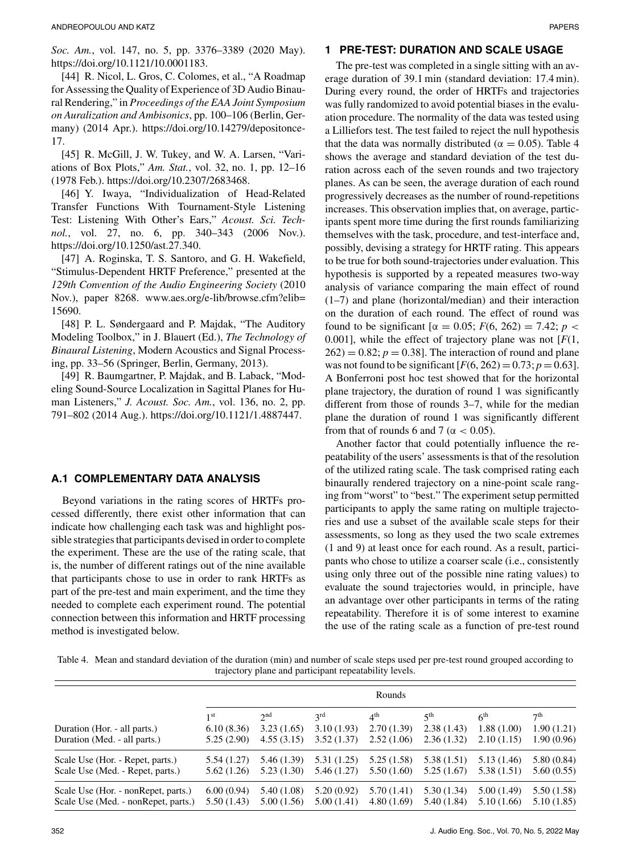*Soc. Am.*, vol. 147, no. 5, pp. 3376–3389 (2020 May). https://doi.org/10.1121/10.0001183.

[44] R. Nicol, L. Gros, C. Colomes, et al., "A Roadmap for Assessing the Quality of Experience of 3D Audio Binaural Rendering," in *Proceedings of the EAA Joint Symposium on Auralization and Ambisonics*, pp. 100–106 (Berlin, Germany) (2014 Apr.). https://doi.org/10.14279/depositonce-17.

[45] R. McGill, J. W. Tukey, and W. A. Larsen, "Variations of Box Plots," *Am. Stat.*, vol. 32, no. 1, pp. 12–16 (1978 Feb.). https://doi.org/10.2307/2683468.

[46] Y. Iwaya, "Individualization of Head-Related Transfer Functions With Tournament-Style Listening Test: Listening With Other's Ears," *Acoust. Sci. Technol.*, vol. 27, no. 6, pp. 340–343 (2006 Nov.). https://doi.org/10.1250/ast.27.340.

[47] A. Roginska, T. S. Santoro, and G. H. Wakefield, "Stimulus-Dependent HRTF Preference," presented at the *129th Convention of the Audio Engineering Society* (2010 Nov.), paper 8268. [www.aes.org/e-lib/browse.cfm?elib=](http://www.aes.org/e-lib/browse.cfm?elib=15690) [15690.](http://www.aes.org/e-lib/browse.cfm?elib=15690)

[48] P. L. Søndergaard and P. Majdak, "The Auditory Modeling Toolbox," in J. Blauert (Ed.), *The Technology of Binaural Listening*, Modern Acoustics and Signal Processing, pp. 33–56 (Springer, Berlin, Germany, 2013).

[49] R. Baumgartner, P. Majdak, and B. Laback, "Modeling Sound-Source Localization in Sagittal Planes for Human Listeners," *J. Acoust. Soc. Am.*, vol. 136, no. 2, pp. 791–802 (2014 Aug.). https://doi.org/10.1121/1.4887447.

#### **A.1 COMPLEMENTARY DATA ANALYSIS**

Beyond variations in the rating scores of HRTFs processed differently, there exist other information that can indicate how challenging each task was and highlight possible strategies that participants devised in order to complete the experiment. These are the use of the rating scale, that is, the number of different ratings out of the nine available that participants chose to use in order to rank HRTFs as part of the pre-test and main experiment, and the time they needed to complete each experiment round. The potential connection between this information and HRTF processing method is investigated below.

#### **1 PRE-TEST: DURATION AND SCALE USAGE**

The pre-test was completed in a single sitting with an average duration of 39.1 min (standard deviation: 17.4 min). During every round, the order of HRTFs and trajectories was fully randomized to avoid potential biases in the evaluation procedure. The normality of the data was tested using a Lilliefors test. The test failed to reject the null hypothesis that the data was normally distributed ( $\alpha = 0.05$ ). Table 4 shows the average and standard deviation of the test duration across each of the seven rounds and two trajectory planes. As can be seen, the average duration of each round progressively decreases as the number of round-repetitions increases. This observation implies that, on average, participants spent more time during the first rounds familiarizing themselves with the task, procedure, and test-interface and, possibly, devising a strategy for HRTF rating. This appears to be true for both sound-trajectories under evaluation. This hypothesis is supported by a repeated measures two-way analysis of variance comparing the main effect of round (1–7) and plane (horizontal/median) and their interaction on the duration of each round. The effect of round was found to be significant [ $\alpha = 0.05$ ; *F*(6, 262) = 7.42; *p* < 0.001], while the effect of trajectory plane was not [*F*(1,  $262$ ) = 0.82;  $p = 0.38$ ]. The interaction of round and plane was not found to be significant  $[F(6, 262) = 0.73; p = 0.63]$ . A Bonferroni post hoc test showed that for the horizontal plane trajectory, the duration of round 1 was significantly different from those of rounds 3–7, while for the median plane the duration of round 1 was significantly different from that of rounds 6 and 7 ( $\alpha$  < 0.05).

Another factor that could potentially influence the repeatability of the users' assessments is that of the resolution of the utilized rating scale. The task comprised rating each binaurally rendered trajectory on a nine-point scale ranging from "worst" to "best." The experiment setup permitted participants to apply the same rating on multiple trajectories and use a subset of the available scale steps for their assessments, so long as they used the two scale extremes (1 and 9) at least once for each round. As a result, participants who chose to utilize a coarser scale (i.e., consistently using only three out of the possible nine rating values) to evaluate the sound trajectories would, in principle, have an advantage over other participants in terms of the rating repeatability. Therefore it is of some interest to examine the use of the rating scale as a function of pre-test round

Table 4. Mean and standard deviation of the duration (min) and number of scale steps used per pre-test round grouped according to trajectory plane and participant repeatability levels.

|                                     | Rounds          |                 |             |                 |                 |                 |                 |
|-------------------------------------|-----------------|-----------------|-------------|-----------------|-----------------|-----------------|-----------------|
|                                     | 1 <sup>st</sup> | 2 <sub>nd</sub> | 3rd         | 4 <sup>th</sup> | 5 <sup>th</sup> | 6 <sup>th</sup> | 7 <sup>th</sup> |
| Duration (Hor. - all parts.)        | 6.10(8.36)      | 3.23(1.65)      | 3.10(1.93)  | 2.70(1.39)      | 2.38(1.43)      | 1.88(1.00)      | 1.90(1.21)      |
| Duration (Med. - all parts.)        | 5.25(2.90)      | 4.55(3.15)      | 3.52(1.37)  | 2.52(1.06)      | 2.36(1.32)      | 2.10(1.15)      | 1.90(0.96)      |
| Scale Use (Hor. - Repet, parts.)    | 5.54 (1.27)     | 5.46 (1.39)     | 5.31(1.25)  | 5.25(1.58)      | 5.38(1.51)      | 5.13 (1.46)     | 5.80(0.84)      |
| Scale Use (Med. - Repet, parts.)    | 5.62(1.26)      | 5.23(1.30)      | 5.46 (1.27) | 5.50(1.60)      | 5.25(1.67)      | 5.38 (1.51)     | 5.60(0.55)      |
| Scale Use (Hor. - nonRepet, parts.) | 6.00(0.94)      | 5.40 (1.08)     | 5.20(0.92)  | 5.70 (1.41)     | 5.30(1.34)      | 5.00(1.49)      | 5.50 (1.58)     |
| Scale Use (Med. - nonRepet, parts.) | 5.50(1.43)      | 5.00 (1.56)     | 5.00(1.41)  | 4.80(1.69)      | 5.40(1.84)      | 5.10(1.66)      | 5.10(1.85)      |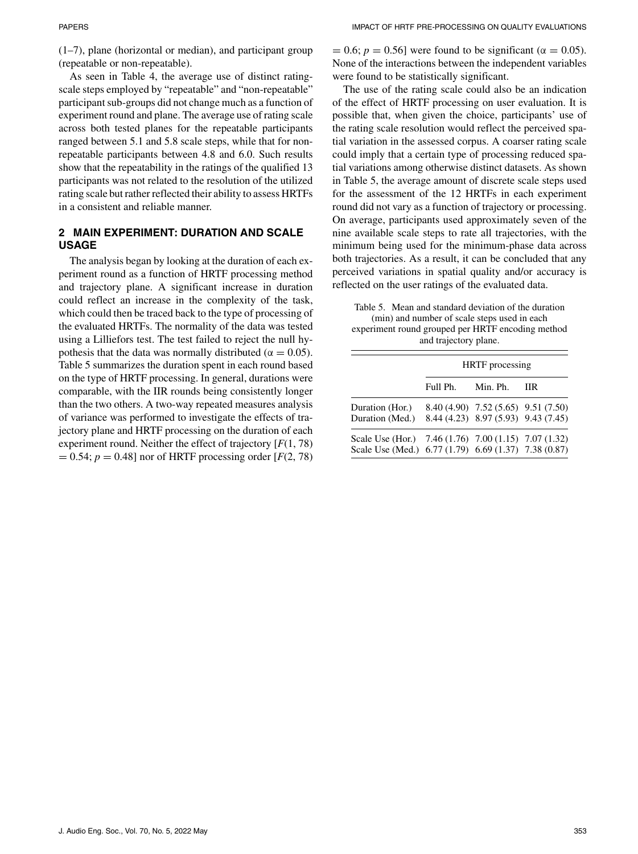(1–7), plane (horizontal or median), and participant group (repeatable or non-repeatable).

As seen in Table 4, the average use of distinct ratingscale steps employed by "repeatable" and "non-repeatable" participant sub-groups did not change much as a function of experiment round and plane. The average use of rating scale across both tested planes for the repeatable participants ranged between 5.1 and 5.8 scale steps, while that for nonrepeatable participants between 4.8 and 6.0. Such results show that the repeatability in the ratings of the qualified 13 participants was not related to the resolution of the utilized rating scale but rather reflected their ability to assess HRTFs in a consistent and reliable manner.

### **2 MAIN EXPERIMENT: DURATION AND SCALE USAGE**

The analysis began by looking at the duration of each experiment round as a function of HRTF processing method and trajectory plane. A significant increase in duration could reflect an increase in the complexity of the task, which could then be traced back to the type of processing of the evaluated HRTFs. The normality of the data was tested using a Lilliefors test. The test failed to reject the null hypothesis that the data was normally distributed ( $\alpha = 0.05$ ). Table 5 summarizes the duration spent in each round based on the type of HRTF processing. In general, durations were comparable, with the IIR rounds being consistently longer than the two others. A two-way repeated measures analysis of variance was performed to investigate the effects of trajectory plane and HRTF processing on the duration of each experiment round. Neither the effect of trajectory [*F*(1, 78)  $= 0.54; p = 0.48$ ] nor of HRTF processing order [ $F(2, 78)$ ]

 $= 0.6$ ;  $p = 0.56$ ] were found to be significant ( $\alpha = 0.05$ ). None of the interactions between the independent variables were found to be statistically significant.

The use of the rating scale could also be an indication of the effect of HRTF processing on user evaluation. It is possible that, when given the choice, participants' use of the rating scale resolution would reflect the perceived spatial variation in the assessed corpus. A coarser rating scale could imply that a certain type of processing reduced spatial variations among otherwise distinct datasets. As shown in Table 5, the average amount of discrete scale steps used for the assessment of the 12 HRTFs in each experiment round did not vary as a function of trajectory or processing. On average, participants used approximately seven of the nine available scale steps to rate all trajectories, with the minimum being used for the minimum-phase data across both trajectories. As a result, it can be concluded that any perceived variations in spatial quality and/or accuracy is reflected on the user ratings of the evaluated data.

Table 5. Mean and standard deviation of the duration (min) and number of scale steps used in each experiment round grouped per HRTF encoding method and trajectory plane.

|                                                                                                              | <b>HRTF</b> processing |                                                                            |            |  |  |  |
|--------------------------------------------------------------------------------------------------------------|------------------------|----------------------------------------------------------------------------|------------|--|--|--|
|                                                                                                              | Full Ph. Min. Ph.      |                                                                            | <b>TIR</b> |  |  |  |
| Duration (Hor.)<br>Duration (Med.)                                                                           |                        | 8.40 (4.90) 7.52 (5.65) 9.51 (7.50)<br>8.44 (4.23) 8.97 (5.93) 9.43 (7.45) |            |  |  |  |
| Scale Use (Hor.) 7.46 (1.76) 7.00 (1.15) 7.07 (1.32)<br>Scale Use (Med.) 6.77 (1.79) 6.69 (1.37) 7.38 (0.87) |                        |                                                                            |            |  |  |  |